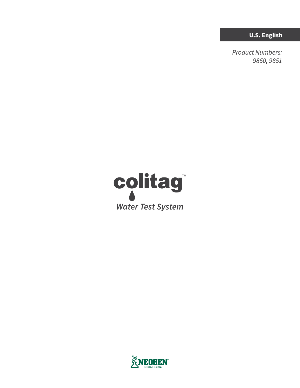**U.S. English**

*Product Numbers: 9850, 9851*



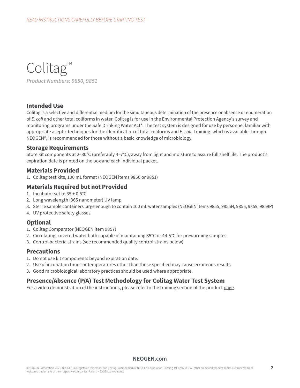Colitag™ *Product Numbers: 9850, 9851*

## **Intended Use**

Colitag is a selective and differential medium for the simultaneous determination of the presence or absence or enumeration of *E. coli* and other total coliforms in water. Colitag is for use in the Environmental Protection Agency's survey and monitoring programs under the Safe Drinking Water Act\*. The test system is designed for use by personnel familiar with appropriate aseptic techniques for the identification of total coliforms and *E. coli*. Training, which is available through NEOGEN®, is recommended for those without a basic knowledge of microbiology.

## **Storage Requirements**

Store kit components at 2–30°C (preferably 4–7°C), away from light and moisture to assure full shelf life. The product's expiration date is printed on the box and each individual packet.

## **Materials Provided**

1. Colitag test kits, 100 mL format (NEOGEN items 9850 or 9851)

## **Materials Required but not Provided**

- 1. Incubator set to  $35 \pm 0.5^{\circ}$ C
- 2. Long wavelength (365 nanometer) UV lamp
- 3. Sterile sample containers large enough to contain 100 mL water samples (NEOGEN items 9855, 9855N, 9856, 9859, 9859P)
- 4. UV protective safety glasses

## **Optional**

- 1. Colitag Comparator (NEOGEN item 9857)
- 2. Circulating, covered water bath capable of maintaining 35°C or 44.5°C for prewarming samples
- 3. Control bacteria strains (see recommended quality control strains below)

## **Precautions**

- 1. Do not use kit components beyond expiration date.
- 2. Use of incubation times or temperatures other than those specified may cause erroneous results.
- 3. Good microbiological laboratory practices should be used where appropriate.

## **Presence/Absence (P/A) Test Methodology for Colitag Water Test System**

For a video demonstration of the instructions, please refer to the training section of the product [page](https://www.neogen.com/categories/microbiology/colitag/).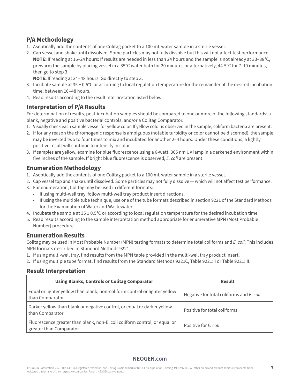# **P/A Methodology**

- 1. Aseptically add the contents of one Colitag packet to a 100 mL water sample in a sterile vessel.
- 2. Cap vessel and shake until dissolved. Some particles may not fully dissolve but this will not affect test performance. **NOTE:** If reading at 16–24 hours: If results are needed in less than 24 hours and the sample is not already at 33–38°C, prewarm the sample by placing vessel in a 35°C water bath for 20 minutes or alternatively, 44.5°C for 7–10 minutes, then go to step 3.

**NOTE:** If reading at 24–48 hours: Go directly to step 3.

- 3. Incubate sample at  $35 \pm 0.5^{\circ}$ C or according to local regulation temperature for the remainder of the desired incubation time; between 16–48 hours.
- 4. Read results according to the result interpretation listed below.

# **Interpretation of P/A Results**

For determination of results, post-incubation samples should be compared to one or more of the following standards: a blank, negative and positive bacterial controls, and/or a Colitag Comparator.

- 1. Visually check each sample vessel for yellow color. If yellow color is observed in the sample, coliform bacteria are present.
- 2. If for any reason the chromogenic response is ambiguous (notable turbidity or color cannot be discerned), the sample may be inverted two to four times to mix and incubated for another 2–4 hours. Under these conditions, a lightly positive result will continue to intensify in color.
- 3. If samples are yellow, examine for blue fluorescence using a 6-watt, 365 nm UV lamp in a darkened environment within five inches of the sample. If bright blue fluorescence is observed, *E. coli* are present.

# **Enumeration Methodology**

- 1. Aseptically add the contents of one Colitag packet to a 100 mL water sample in a sterile vessel.
- 2. Cap vessel top and shake until dissolved. Some particles may not fully dissolve which will not affect test performance.
- 3. For enumeration, Colitag may be used in different formats:
	- If using multi-well tray, follow multi-well tray product insert directions.
	- If using the multiple tube technique, use one of the tube formats described in section 9221 of the Standard Methods for the Examination of Water and Wastewater.
- 4. Incubate the sample at  $35 \pm 0.5^{\circ}$ C or according to local regulation temperature for the desired incubation time.
- 5. Read results according to the sample interpretation method appropriate for enumerative MPN (Most Probable Number) procedure.

## **Enumeration Results**

Colitag may be used in Most Probable Number (MPN) testing formats to determine total coliforms and *E. coli*. This includes MPN formats described in Standard Methods 9221.

- 1. If using multi-well tray, find results from the MPN table provided in the multi-well tray product insert.
- 2. If using multiple tube format, find results from the Standard Methods 9221C, Table 9221:II or Table 9221:III.

# **Result Interpretation**

| <b>Using Blanks, Controls or Colitag Comparator</b>                                                   | Result                                   |
|-------------------------------------------------------------------------------------------------------|------------------------------------------|
| Equal or lighter yellow than blank, non-coliform control or lighter yellow<br>than Comparator         | Negative for total coliforms and E. coli |
| Darker yellow than blank or negative control, or equal or darker yellow<br>than Comparator            | Positive for total coliforms             |
| Fluorescence greater than blank, non-E. coli coliform control, or equal or<br>greater than Comparator | Positive for E. coli                     |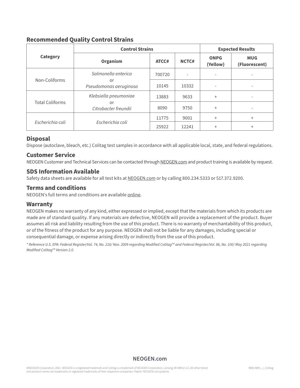# **Recommended Quality Control Strains**

|                        | <b>Control Strains</b>       | <b>Expected Results</b> |       |                          |                             |
|------------------------|------------------------------|-------------------------|-------|--------------------------|-----------------------------|
| <b>Category</b>        | Organism                     | ATCC#                   | NCTC# | <b>ONPG</b><br>(Yellow)  | <b>MUG</b><br>(Fluorescent) |
| Non-Coliforms          | Salmonella enterica          | 700720                  |       |                          | $\overline{\phantom{0}}$    |
|                        | or<br>Pseudomonas aeruginosa | 10145                   | 10332 | $\overline{\phantom{a}}$ | $\overline{\phantom{a}}$    |
| <b>Total Coliforms</b> | Klebsiella pneumoniae        | 13883                   | 9633  | $+$                      | $\overline{\phantom{a}}$    |
|                        | or<br>Citrobacter freundii   | 8090                    | 9750  | $^{+}$                   | $\overline{\phantom{a}}$    |
| Escherichia coli       | Escherichia coli             | 11775                   | 9001  | $+$                      | $^{+}$                      |
|                        |                              | 25922                   | 12241 | $^{+}$                   | $^{+}$                      |

## **Disposal**

Dispose (autoclave, bleach, etc.) Colitag test samples in accordance with all applicable local, state, and federal regulations.

#### **Customer Service**

[NEOGEN Customer and Technical Services can be contacted through NEOGEN.com and product training is available by request.](http://www.neogen.com)

## **SDS Information Available**

Safety data sheets are available for all test kits at [NEOGEN.com](http://www.neogen.com) or by calling 800.234.5333 or 517.372.9200.

#### **Terms and conditions**

[NEOGEN's full terms and conditions are available online.](https://www.neogen.com/terms-and-conditions/) 

## **Warranty**

NEOGEN makes no warranty of any kind, either expressed or implied, except that the materials from which its products are made are of standard quality. If any materials are defective, NEOGEN will provide a replacement of the product. Buyer assumes all risk and liability resulting from the use of this product. There is no warranty of merchantability of this product, or of the fitness of the product for any purpose. NEOGEN shall not be liable for any damages, including special or consequential damage, or expense arising directly or indirectly from the use of this product.

*\* Reference U.S. EPA: Federal Register/Vol. 74, No. 216/ Nov. 2009 regarding Modified ColitagTM and Federal Register/Vol. 86, No. 100/ May 2021 regarding Modified ColitagTM Version 2.0.*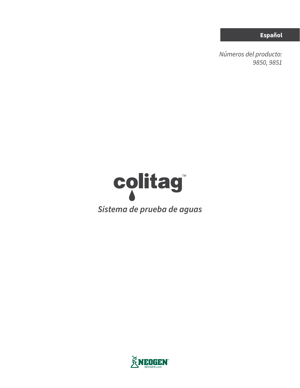**Español**

*Números del producto: 9850, 9851*



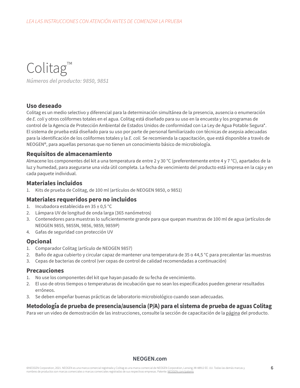Colitag™ *Números del producto: 9850, 9851*

## **Uso deseado**

Colitag es un medio selectivo y diferencial para la determinación simultánea de la presencia, ausencia o enumeración de *E. coli* y otros coliformes totales en el agua. Colitag está diseñado para su uso en la encuesta y los programas de control de la Agencia de Protección Ambiental de Estados Unidos de conformidad con La Ley de Agua Potable Segura\*. El sistema de prueba está diseñado para su uso por parte de personal familiarizado con técnicas de asepsia adecuadas para la identificación de los coliformes totales y la *E. coli.* Se recomienda la capacitación, que está disponible a través de NEOGEN®, para aquellas personas que no tienen un conocimiento básico de microbiología.

## **Requisitos de almacenamiento**

Almacene los componentes del kit a una temperatura de entre 2 y 30 °C (preferentemente entre 4 y 7 °C), apartados de la luz y humedad, para asegurarse una vida útil completa. La fecha de vencimiento del producto está impresa en la caja y en cada paquete individual.

## **Materiales incluidos**

1. Kits de prueba de Colitag, de 100 ml (artículos de NEOGEN 9850, o 9851)

## **Materiales requeridos pero no incluidos**

- 1. Incubadora establecida en  $35 \pm 0.5$  °C
- 2. Lámpara UV de longitud de onda larga (365 nanómetros)
- 3. Contenedores para muestras lo suficientemente grande para que quepan muestras de 100 ml de agua (artículos de NEOGEN 9855, 9855N, 9856, 9859, 9859P)
- 4. Gafas de seguridad con protección UV

## **Opcional**

- 1. Comparador Colitag (artículo de NEOGEN 9857)
- 2. Baño de agua cubierto y circular capaz de mantener una temperatura de 35 o 44,5 °C para precalentar las muestras
- 3. Cepas de bacterias de control (ver cepas de control de calidad recomendadas a continuación)

## **Precauciones**

- 1. No use los componentes del kit que hayan pasado de su fecha de vencimiento.
- 2. El uso de otros tiempos o temperaturas de incubación que no sean los especificados pueden generar resultados erróneos.
- 3. Se deben empeñar buenas prácticas de laboratorio microbiológico cuando sean adecuadas.

## **Metodología de prueba de presencia/ausencia (P/A) para el sistema de prueba de aguas Colitag**

Para ver un video de demostración de las instrucciones, consulte la sección de capacitación de la [página](https://www.neogen.com/categories/microbiology/colitag/) del producto.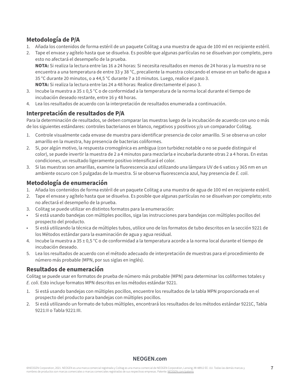# **Metodología de P/A**

- 1. Añada los contenidos de forma estéril de un paquete Colitag a una muestra de agua de 100 ml en recipiente estéril.
- 2. Tape el envase y agítelo hasta que se disuelva. Es posible que algunas partículas no se disuelvan por completo, pero esto no afectará el desempeño de la prueba.

**NOTA:** Si realiza la lectura entre las 16 a 24 horas: Si necesita resultados en menos de 24 horas y la muestra no se encuentra a una temperatura de entre 33 y 38 °C, precaliente la muestra colocando el envase en un baño de agua a 35 °C durante 20 minutos, o a 44,5 °C durante 7 a 10 minutos. Luego, realice el paso 3. **NOTA:** Si realiza la lectura entre las 24 a 48 horas: Realice directamente el paso 3.

- 3. Incube la muestra a 35 ± 0,5 °C o de conformidad a la temperatura de la norma local durante el tiempo de incubación deseado restante, entre 16 y 48 horas.
- 4. Lea los resultados de acuerdo con la interpretación de resultados enumerada a continuación.

# **Interpretación de resultados de P/A**

Para la determinación de resultados, se deben comparar las muestras luego de la incubación de acuerdo con uno o más de los siguientes estándares: controles bacterianos en blanco, negativos y positivos y/o un comparador Colitag.

- 1. Controle visualmente cada envase de muestra para identificar presencia de color amarillo. Si se observa un color amarillo en la muestra, hay presencia de bacterias coliformes.
- 2. Si, por algún motivo, la respuesta cromogénica es ambigua (con turbidez notable o no se puede distinguir el color), se puede invertir la muestra de 2 a 4 minutos para mezclarla e incubarla durante otras 2 a 4 horas. En estas condiciones, un resultado ligeramente positivo intensificará el color.
- 3. Si las muestras son amarillas, examine la fluorescencia azul utilizando una lámpara UV de 6 vatios y 365 nm en un ambiente oscuro con 5 pulgadas de la muestra. Si se observa fluorescencia azul, hay presencia de *E. coli*.

# **Metodología de enumeración**

- 1. Añada los contenidos de forma estéril de un paquete Colitag a una muestra de agua de 100 ml en recipiente estéril.
- 2. Tape el envase y agítelo hasta que se disuelva. Es posible que algunas partículas no se disuelvan por completo; esto no afectará el desempeño de la prueba.
- 3. Colitag se puede utilizar en distintos formatos para la enumeración:
- Si está usando bandejas con múltiples pocillos, siga las instrucciones para bandejas con múltiples pocillos del prospecto del producto.
- Si está utilizando la técnica de múltiples tubos, utilice uno de los formatos de tubo descritos en la sección 9221 de los Métodos estándar para la examinación de agua y agua residual.
- 4. Incube la muestra a 35 ± 0,5 °C o de conformidad a la temperatura acorde a la norma local durante el tiempo de incubación deseado.
- 5. Lea los resultados de acuerdo con el método adecuado de interpretación de muestras para el procedimiento de número más probable (MPN, por sus siglas en inglés).

# **Resultados de enumeración**

Colitag se puede usar en formatos de prueba de número más probable (MPN) para determinar los coliformes totales y *E. coli*. Esto incluye formatos MPN descritos en los métodos estándar 9221.

- 1. Si está usando bandejas con múltiples pocillos, encuentre los resultados de la tabla MPN proporcionada en el prospecto del producto para bandejas con múltiples pocillos.
- 2. Si está utilizando un formato de tubos múltiples, encontrará los resultados de los métodos estándar 9221C, Tabla 9221:II o Tabla 9221:III.